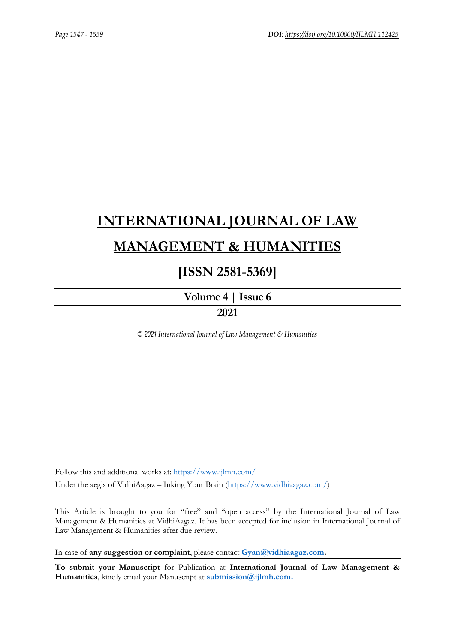## **[INTERNATIONAL JOURNAL OF LAW](https://www.ijlmh.com/)  [MANAGEMENT & HUMANITIES](https://www.ijlmh.com/)**

### **[ISSN 2581-5369]**

**[Volume 4 |](https://www.ijlmh.com/publications/volume-iv-issue-vi/) Issue 6**

### **2021**

*© 2021 International Journal of Law Management & Humanities*

Follow this and additional works at:<https://www.ijlmh.com/> Under the aegis of VidhiAagaz – Inking Your Brain [\(https://www.vidhiaagaz.com/\)](https://www.vidhiaagaz.com/)

This Article is brought to you for "free" and "open access" by the International Journal of Law Management & Humanities at VidhiAagaz. It has been accepted for inclusion in International Journal of Law Management & Humanities after due review.

In case of **any suggestion or complaint**, please contact **[Gyan@vidhiaagaz.com.](mailto:Gyan@vidhiaagaz.com)** 

**To submit your Manuscript** for Publication at **International Journal of Law Management & Humanities**, kindly email your Manuscript at **[submission@ijlmh.com.](mailto:submission@ijlmh.com)**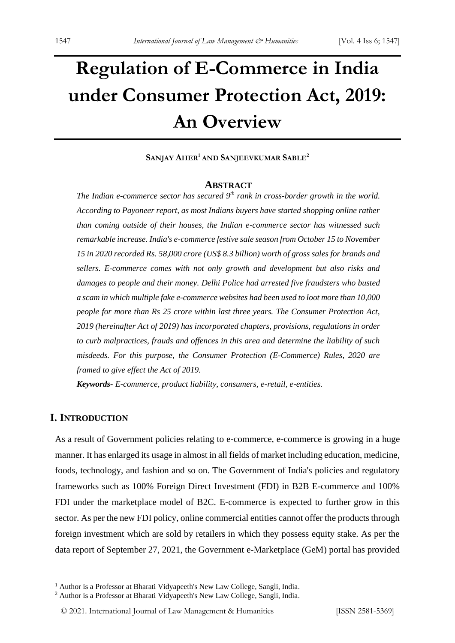# **Regulation of E-Commerce in India under Consumer Protection Act, 2019: An Overview**

#### **SANJAY AHER<sup>1</sup> AND SANJEEVKUMAR SABLE<sup>2</sup>**

#### **ABSTRACT**

*The Indian e-commerce sector has secured 9th rank in cross-border growth in the world. According to Payoneer report, as most Indians buyers have started shopping online rather than coming outside of their houses, the Indian e-commerce sector has witnessed such remarkable increase. India's e-commerce festive sale season from October 15 to November 15 in 2020 recorded Rs. 58,000 crore (US\$ 8.3 billion) worth of gross sales for brands and sellers. E-commerce comes with not only growth and development but also risks and damages to people and their money. Delhi Police had arrested five fraudsters who busted a scam in which multiple fake e-commerce websites had been used to loot more than 10,000 people for more than Rs 25 crore within last three years. The Consumer Protection Act, 2019 (hereinafter Act of 2019) has incorporated chapters, provisions, regulations in order to curb malpractices, frauds and offences in this area and determine the liability of such misdeeds. For this purpose, the Consumer Protection (E-Commerce) Rules, 2020 are framed to give effect the Act of 2019.*

*Keywords- E-commerce, product liability, consumers, e-retail, e-entities.*

#### **I. INTRODUCTION**

As a result of Government policies relating to e-commerce, e-commerce is growing in a huge manner. It has enlarged its usage in almost in all fields of market including education, medicine, foods, technology, and fashion and so on. The Government of India's policies and regulatory frameworks such as 100% Foreign Direct Investment (FDI) in B2B E-commerce and 100% FDI under the marketplace model of B2C. E-commerce is expected to further grow in this sector. As per the new FDI policy, online commercial entities cannot offer the products through foreign investment which are sold by retailers in which they possess equity stake. As per the data report of September 27, 2021, the Government e-Marketplace (GeM) portal has provided

<sup>&</sup>lt;sup>1</sup> Author is a Professor at Bharati Vidyapeeth's New Law College, Sangli, India.

<sup>&</sup>lt;sup>2</sup> Author is a Professor at Bharati Vidyapeeth's New Law College, Sangli, India.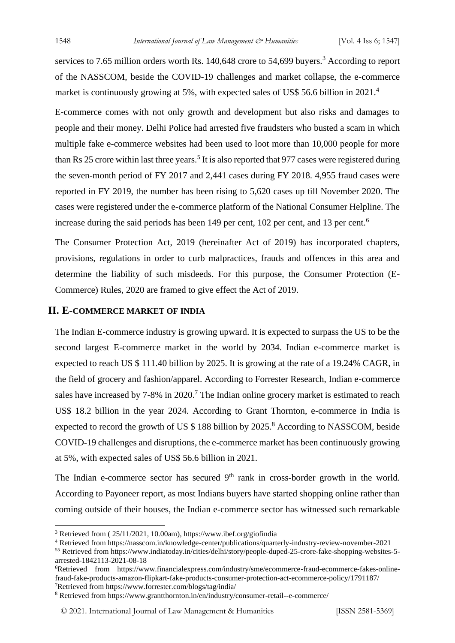services to 7.65 million orders worth Rs. 140,648 crore to 54,699 buyers.<sup>3</sup> According to report of the NASSCOM, beside the COVID-19 challenges and market collapse, the e-commerce market is continuously growing at 5%, with expected sales of US\$ 56.6 billion in 2021.<sup>4</sup>

E-commerce comes with not only growth and development but also risks and damages to people and their money. Delhi Police had arrested five fraudsters who busted a scam in which multiple fake e-commerce websites had been used to loot more than 10,000 people for more than Rs 25 crore within last three years.<sup>5</sup> It is also reported that 977 cases were registered during the seven-month period of FY 2017 and 2,441 cases during FY 2018. 4,955 fraud cases were reported in FY 2019, the number has been rising to 5,620 cases up till November 2020. The cases were registered under the e-commerce platform of the National Consumer Helpline. The increase during the said periods has been 149 per cent, 102 per cent, and 13 per cent.<sup>6</sup>

The Consumer Protection Act, 2019 (hereinafter Act of 2019) has incorporated chapters, provisions, regulations in order to curb malpractices, frauds and offences in this area and determine the liability of such misdeeds. For this purpose, the Consumer Protection (E-Commerce) Rules, 2020 are framed to give effect the Act of 2019.

#### **II. E-COMMERCE MARKET OF INDIA**

The Indian E-commerce industry is growing upward. It is expected to surpass the US to be the second largest E-commerce market in the world by 2034. Indian e-commerce market is expected to reach US \$ 111.40 billion by 2025. It is growing at the rate of a 19.24% CAGR, in the field of grocery and fashion/apparel. According to Forrester Research, Indian e-commerce sales have increased by 7-8% in 2020.<sup>7</sup> The Indian online grocery market is estimated to reach US\$ 18.2 billion in the year 2024. According to Grant Thornton, e-commerce in India is expected to record the growth of US  $$188$  billion by 2025.<sup>8</sup> According to NASSCOM, beside COVID-19 challenges and disruptions, the e-commerce market has been continuously growing at 5%, with expected sales of US\$ 56.6 billion in 2021.

The Indian e-commerce sector has secured  $9<sup>th</sup>$  rank in cross-border growth in the world. According to Payoneer report, as most Indians buyers have started shopping online rather than coming outside of their houses, the Indian e-commerce sector has witnessed such remarkable

© 2021. International Journal of [Law Management & Humanities](https://www.ijlmh.com/) [ISSN 2581-5369]

<sup>3</sup> Retrieved from ( 25/11/2021, 10.00am), https://www.ibef.org/giofindia

<sup>4</sup> Retrieved from https://nasscom.in/knowledge-center/publications/quarterly-industry-review-november-2021

<sup>55</sup> Retrieved from https://www.indiatoday.in/cities/delhi/story/people-duped-25-crore-fake-shopping-websites-5 arrested-1842113-2021-08-18

<sup>6</sup>Retrieved from https://www.financialexpress.com/industry/sme/ecommerce-fraud-ecommerce-fakes-onlinefraud-fake-products-amazon-flipkart-fake-products-consumer-protection-act-ecommerce-policy/1791187/ <sup>7</sup>Retrieved from https://www.forrester.com/blogs/tag/india/

<sup>8</sup> Retrieved from https://www.grantthornton.in/en/industry/consumer-retail--e-commerce/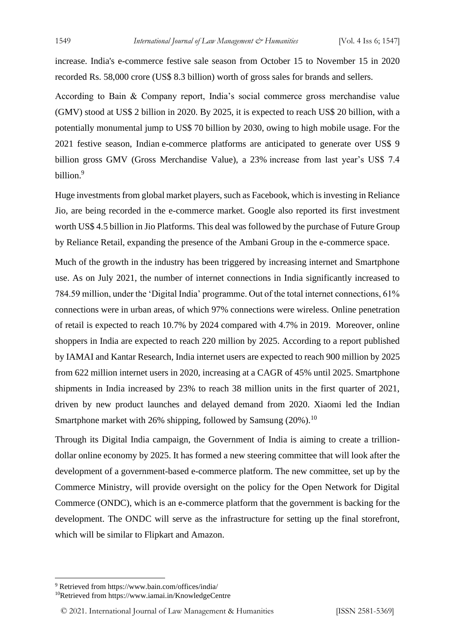increase. India's e-commerce festive sale season from October 15 to November 15 in 2020 recorded Rs. 58,000 crore (US\$ 8.3 billion) worth of gross sales for brands and sellers.

According to Bain & Company report, India's social commerce gross merchandise value (GMV) stood at US\$ 2 billion in 2020. By 2025, it is expected to reach US\$ 20 billion, with a potentially monumental jump to US\$ 70 billion by 2030, owing to high mobile usage. For the 2021 festive season, Indian e-commerce platforms are anticipated to generate over US\$ 9 billion gross GMV (Gross Merchandise Value), a 23% increase from last year's US\$ 7.4 billion.<sup>9</sup>

Huge investments from global market players, such as Facebook, which is investing in Reliance Jio, are being recorded in the e-commerce market. Google also reported its first investment worth US\$ 4.5 billion in Jio Platforms. This deal was followed by the purchase of Future Group by Reliance Retail, expanding the presence of the Ambani Group in the e-commerce space.

Much of the growth in the industry has been triggered by increasing internet and Smartphone use. As on July 2021, the number of internet connections in India significantly increased to 784.59 million, under the 'Digital India' programme. Out of the total internet connections, 61% connections were in urban areas, of which 97% connections were wireless. Online penetration of retail is expected to reach 10.7% by 2024 compared with 4.7% in 2019. Moreover, online shoppers in India are expected to reach 220 million by 2025. According to a report published by IAMAI and Kantar Research, India internet users are expected to reach 900 million by 2025 from 622 million internet users in 2020, increasing at a CAGR of 45% until 2025. Smartphone shipments in India increased by 23% to reach 38 million units in the first quarter of 2021, driven by new product launches and delayed demand from 2020. Xiaomi led the Indian Smartphone market with 26% shipping, followed by Samsung  $(20\%)$ .<sup>10</sup>

Through its Digital India campaign, the Government of India is aiming to create a trilliondollar online economy by 2025. It has formed a new steering committee that will look after the development of a government-based e-commerce platform. The new committee, set up by the Commerce Ministry, will provide oversight on the policy for the Open Network for Digital Commerce (ONDC), which is an e-commerce platform that the government is backing for the development. The ONDC will serve as the infrastructure for setting up the final storefront, which will be similar to Flipkart and Amazon.

<sup>9</sup> Retrieved from https://www.bain.com/offices/india/

<sup>10</sup>Retrieved from https://www.iamai.in/KnowledgeCentre

<sup>© 2021.</sup> International Journal of [Law Management & Humanities](https://www.ijlmh.com/) [ISSN 2581-5369]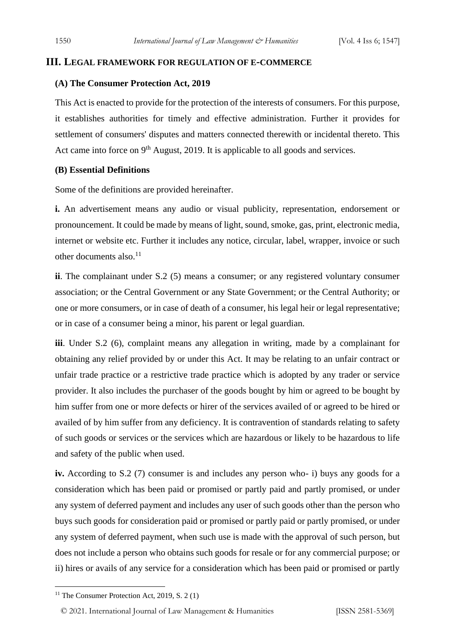#### **III. LEGAL FRAMEWORK FOR REGULATION OF E-COMMERCE**

#### **(A) The Consumer Protection Act, 2019**

This Act is enacted to provide for the protection of the interests of consumers. For this purpose, it establishes authorities for timely and effective administration. Further it provides for settlement of consumers' disputes and matters connected therewith or incidental thereto. This Act came into force on  $9<sup>th</sup>$  August, 2019. It is applicable to all goods and services.

#### **(B) Essential Definitions**

Some of the definitions are provided hereinafter.

**i.** An advertisement means any audio or visual publicity, representation, endorsement or pronouncement. It could be made by means of light, sound, smoke, gas, print, electronic media, internet or website etc. Further it includes any notice, circular, label, wrapper, invoice or such other documents also.<sup>11</sup>

**ii**. The complainant under S.2 (5) means a consumer; or any registered voluntary consumer association; or the Central Government or any State Government; or the Central Authority; or one or more consumers, or in case of death of a consumer, his legal heir or legal representative; or in case of a consumer being a minor, his parent or legal guardian.

**iii**. Under S.2 (6), complaint means any allegation in writing, made by a complainant for obtaining any relief provided by or under this Act. It may be relating to an unfair contract or unfair trade practice or a restrictive trade practice which is adopted by any trader or service provider. It also includes the purchaser of the goods bought by him or agreed to be bought by him suffer from one or more defects or hirer of the services availed of or agreed to be hired or availed of by him suffer from any deficiency. It is contravention of standards relating to safety of such goods or services or the services which are hazardous or likely to be hazardous to life and safety of the public when used.

**iv.** According to S.2 (7) consumer is and includes any person who- i) buys any goods for a consideration which has been paid or promised or partly paid and partly promised, or under any system of deferred payment and includes any user of such goods other than the person who buys such goods for consideration paid or promised or partly paid or partly promised, or under any system of deferred payment, when such use is made with the approval of such person, but does not include a person who obtains such goods for resale or for any commercial purpose; or ii) hires or avails of any service for a consideration which has been paid or promised or partly

© 2021. International Journal of [Law Management & Humanities](https://www.ijlmh.com/) [ISSN 2581-5369]

<sup>&</sup>lt;sup>11</sup> The Consumer Protection Act, 2019, S. 2 (1)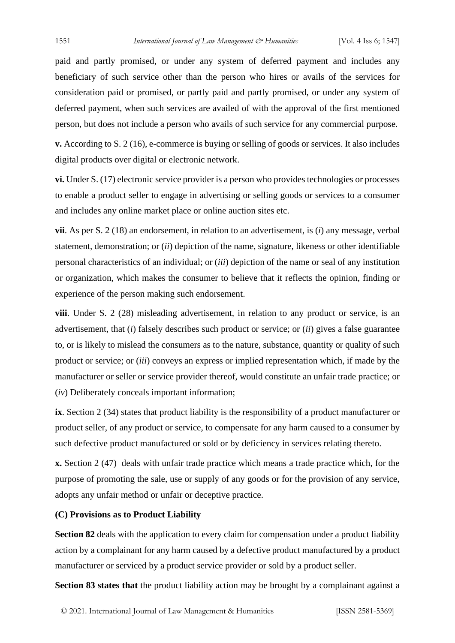paid and partly promised, or under any system of deferred payment and includes any beneficiary of such service other than the person who hires or avails of the services for consideration paid or promised, or partly paid and partly promised, or under any system of deferred payment, when such services are availed of with the approval of the first mentioned person, but does not include a person who avails of such service for any commercial purpose.

**v.** According to S. 2 (16), e-commerce is buying or selling of goods or services. It also includes digital products over digital or electronic network.

**vi.** Under S. (17) electronic service provider is a person who provides technologies or processes to enable a product seller to engage in advertising or selling goods or services to a consumer and includes any online market place or online auction sites etc.

**vii**. As per S. 2 (18) an endorsement, in relation to an advertisement, is (*i*) any message, verbal statement, demonstration; or (*ii*) depiction of the name, signature, likeness or other identifiable personal characteristics of an individual; or (*iii*) depiction of the name or seal of any institution or organization, which makes the consumer to believe that it reflects the opinion, finding or experience of the person making such endorsement.

**viii**. Under S. 2 (28) misleading advertisement, in relation to any product or service, is an advertisement, that (*i*) falsely describes such product or service; or (*ii*) gives a false guarantee to, or is likely to mislead the consumers as to the nature, substance, quantity or quality of such product or service; or (*iii*) conveys an express or implied representation which, if made by the manufacturer or seller or service provider thereof, would constitute an unfair trade practice; or (*iv*) Deliberately conceals important information;

**ix**. Section 2 (34) states that product liability is the responsibility of a product manufacturer or product seller, of any product or service, to compensate for any harm caused to a consumer by such defective product manufactured or sold or by deficiency in services relating thereto.

**x.** Section 2 (47) deals with unfair trade practice which means a trade practice which, for the purpose of promoting the sale, use or supply of any goods or for the provision of any service, adopts any unfair method or unfair or deceptive practice.

#### **(C) Provisions as to Product Liability**

**Section 82** deals with the application to every claim for compensation under a product liability action by a complainant for any harm caused by a defective product manufactured by a product manufacturer or serviced by a product service provider or sold by a product seller.

**Section 83 states that** the product liability action may be brought by a complainant against a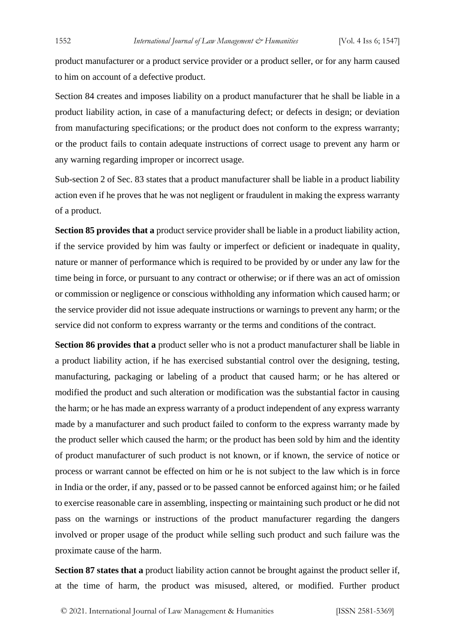product manufacturer or a product service provider or a product seller, or for any harm caused to him on account of a defective product.

Section 84 creates and imposes liability on a product manufacturer that he shall be liable in a product liability action, in case of a manufacturing defect; or defects in design; or deviation from manufacturing specifications; or the product does not conform to the express warranty; or the product fails to contain adequate instructions of correct usage to prevent any harm or any warning regarding improper or incorrect usage.

Sub-section 2 of Sec. 83 states that a product manufacturer shall be liable in a product liability action even if he proves that he was not negligent or fraudulent in making the express warranty of a product.

**Section 85 provides that a** product service provider shall be liable in a product liability action, if the service provided by him was faulty or imperfect or deficient or inadequate in quality, nature or manner of performance which is required to be provided by or under any law for the time being in force, or pursuant to any contract or otherwise; or if there was an act of omission or commission or negligence or conscious withholding any information which caused harm; or the service provider did not issue adequate instructions or warnings to prevent any harm; or the service did not conform to express warranty or the terms and conditions of the contract.

**Section 86 provides that a** product seller who is not a product manufacturer shall be liable in a product liability action, if he has exercised substantial control over the designing, testing, manufacturing, packaging or labeling of a product that caused harm; or he has altered or modified the product and such alteration or modification was the substantial factor in causing the harm; or he has made an express warranty of a product independent of any express warranty made by a manufacturer and such product failed to conform to the express warranty made by the product seller which caused the harm; or the product has been sold by him and the identity of product manufacturer of such product is not known, or if known, the service of notice or process or warrant cannot be effected on him or he is not subject to the law which is in force in India or the order, if any, passed or to be passed cannot be enforced against him; or he failed to exercise reasonable care in assembling, inspecting or maintaining such product or he did not pass on the warnings or instructions of the product manufacturer regarding the dangers involved or proper usage of the product while selling such product and such failure was the proximate cause of the harm.

**Section 87 states that a** product liability action cannot be brought against the product seller if, at the time of harm, the product was misused, altered, or modified. Further product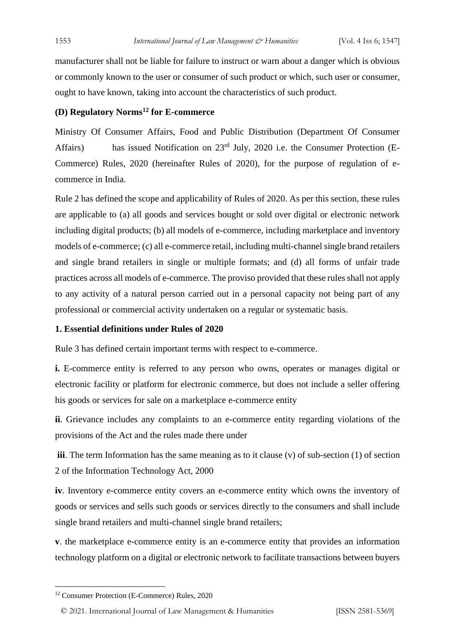manufacturer shall not be liable for failure to instruct or warn about a danger which is obvious or commonly known to the user or consumer of such product or which, such user or consumer, ought to have known, taking into account the characteristics of such product.

#### **(D) Regulatory Norms<sup>12</sup> for E-commerce**

Ministry Of Consumer Affairs, Food and Public Distribution (Department Of Consumer Affairs) has issued Notification on 23<sup>rd</sup> July, 2020 i.e. the Consumer Protection (E-Commerce) Rules, 2020 (hereinafter Rules of 2020), for the purpose of regulation of ecommerce in India.

Rule 2 has defined the scope and applicability of Rules of 2020. As per this section, these rules are applicable to (a) all goods and services bought or sold over digital or electronic network including digital products; (b) all models of e-commerce, including marketplace and inventory models of e-commerce; (c) all e-commerce retail, including multi-channel single brand retailers and single brand retailers in single or multiple formats; and (d) all forms of unfair trade practices across all models of e-commerce. The proviso provided that these rules shall not apply to any activity of a natural person carried out in a personal capacity not being part of any professional or commercial activity undertaken on a regular or systematic basis.

#### **1. Essential definitions under Rules of 2020**

Rule 3 has defined certain important terms with respect to e-commerce.

**i.** E-commerce entity is referred to any person who owns, operates or manages digital or electronic facility or platform for electronic commerce, but does not include a seller offering his goods or services for sale on a marketplace e-commerce entity

**ii**. Grievance includes any complaints to an e-commerce entity regarding violations of the provisions of the Act and the rules made there under

**iii**. The term Information has the same meaning as to it clause (v) of sub-section (1) of section 2 of the Information Technology Act, 2000

**iv**. Inventory e-commerce entity covers an e-commerce entity which owns the inventory of goods or services and sells such goods or services directly to the consumers and shall include single brand retailers and multi-channel single brand retailers;

**v**. the marketplace e-commerce entity is an e-commerce entity that provides an information technology platform on a digital or electronic network to facilitate transactions between buyers

© 2021. International Journal of [Law Management & Humanities](https://www.ijlmh.com/) [ISSN 2581-5369]

<sup>12</sup> Consumer Protection (E-Commerce) Rules, 2020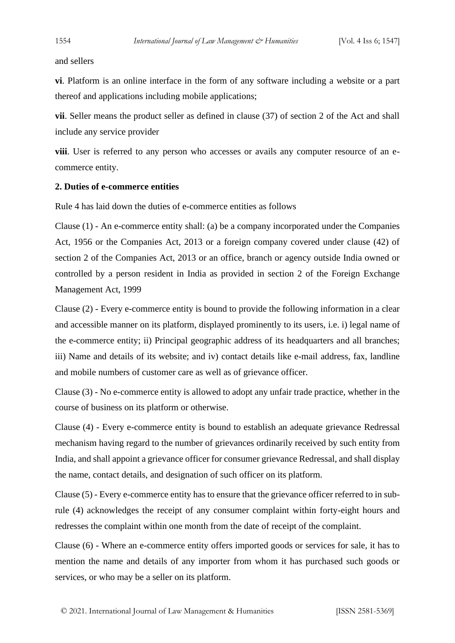and sellers

**vi**. Platform is an online interface in the form of any software including a website or a part thereof and applications including mobile applications;

**vii**. Seller means the product seller as defined in clause (37) of section 2 of the Act and shall include any service provider

**viii**. User is referred to any person who accesses or avails any computer resource of an ecommerce entity.

#### **2. Duties of e-commerce entities**

Rule 4 has laid down the duties of e-commerce entities as follows

Clause (1) - An e-commerce entity shall: (a) be a company incorporated under the Companies Act, 1956 or the Companies Act, 2013 or a foreign company covered under clause (42) of section 2 of the Companies Act, 2013 or an office, branch or agency outside India owned or controlled by a person resident in India as provided in section 2 of the Foreign Exchange Management Act, 1999

Clause (2) - Every e-commerce entity is bound to provide the following information in a clear and accessible manner on its platform, displayed prominently to its users, i.e. i) legal name of the e-commerce entity; ii) Principal geographic address of its headquarters and all branches; iii) Name and details of its website; and iv) contact details like e-mail address, fax, landline and mobile numbers of customer care as well as of grievance officer.

Clause (3) - No e-commerce entity is allowed to adopt any unfair trade practice, whether in the course of business on its platform or otherwise.

Clause (4) - Every e-commerce entity is bound to establish an adequate grievance Redressal mechanism having regard to the number of grievances ordinarily received by such entity from India, and shall appoint a grievance officer for consumer grievance Redressal, and shall display the name, contact details, and designation of such officer on its platform.

Clause (5) - Every e-commerce entity has to ensure that the grievance officer referred to in subrule (4) acknowledges the receipt of any consumer complaint within forty-eight hours and redresses the complaint within one month from the date of receipt of the complaint.

Clause (6) - Where an e-commerce entity offers imported goods or services for sale, it has to mention the name and details of any importer from whom it has purchased such goods or services, or who may be a seller on its platform.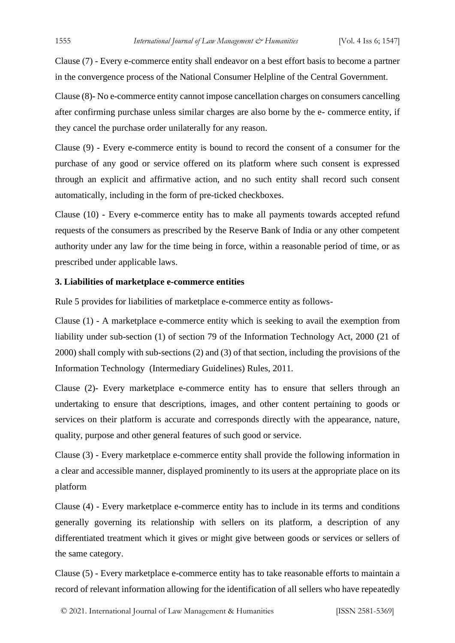Clause (7) - Every e-commerce entity shall endeavor on a best effort basis to become a partner in the convergence process of the National Consumer Helpline of the Central Government.

Clause (8)- No e-commerce entity cannot impose cancellation charges on consumers cancelling after confirming purchase unless similar charges are also borne by the e- commerce entity, if they cancel the purchase order unilaterally for any reason.

Clause (9) - Every e-commerce entity is bound to record the consent of a consumer for the purchase of any good or service offered on its platform where such consent is expressed through an explicit and affirmative action, and no such entity shall record such consent automatically, including in the form of pre-ticked checkboxes.

Clause (10) - Every e-commerce entity has to make all payments towards accepted refund requests of the consumers as prescribed by the Reserve Bank of India or any other competent authority under any law for the time being in force, within a reasonable period of time, or as prescribed under applicable laws.

#### **3. Liabilities of marketplace e-commerce entities**

Rule 5 provides for liabilities of marketplace e-commerce entity as follows-

Clause (1) - A marketplace e-commerce entity which is seeking to avail the exemption from liability under sub-section (1) of section 79 of the Information Technology Act, 2000 (21 of 2000) shall comply with sub-sections (2) and (3) of that section, including the provisions of the Information Technology (Intermediary Guidelines) Rules, 2011.

Clause (2)- Every marketplace e-commerce entity has to ensure that sellers through an undertaking to ensure that descriptions, images, and other content pertaining to goods or services on their platform is accurate and corresponds directly with the appearance, nature, quality, purpose and other general features of such good or service.

Clause (3) - Every marketplace e-commerce entity shall provide the following information in a clear and accessible manner, displayed prominently to its users at the appropriate place on its platform

Clause (4) - Every marketplace e-commerce entity has to include in its terms and conditions generally governing its relationship with sellers on its platform, a description of any differentiated treatment which it gives or might give between goods or services or sellers of the same category.

Clause (5) - Every marketplace e-commerce entity has to take reasonable efforts to maintain a record of relevant information allowing for the identification of all sellers who have repeatedly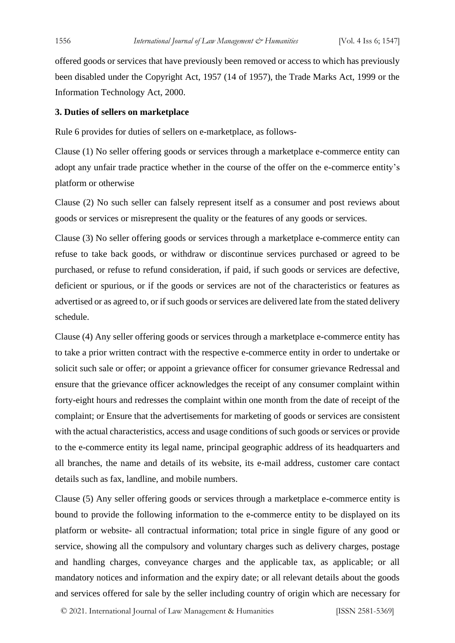offered goods or services that have previously been removed or access to which has previously been disabled under the Copyright Act, 1957 (14 of 1957), the Trade Marks Act, 1999 or the Information Technology Act, 2000.

#### **3. Duties of sellers on marketplace**

Rule 6 provides for duties of sellers on e-marketplace, as follows-

Clause (1) No seller offering goods or services through a marketplace e-commerce entity can adopt any unfair trade practice whether in the course of the offer on the e-commerce entity's platform or otherwise

Clause (2) No such seller can falsely represent itself as a consumer and post reviews about goods or services or misrepresent the quality or the features of any goods or services.

Clause (3) No seller offering goods or services through a marketplace e-commerce entity can refuse to take back goods, or withdraw or discontinue services purchased or agreed to be purchased, or refuse to refund consideration, if paid, if such goods or services are defective, deficient or spurious, or if the goods or services are not of the characteristics or features as advertised or as agreed to, or if such goods or services are delivered late from the stated delivery schedule.

Clause (4) Any seller offering goods or services through a marketplace e-commerce entity has to take a prior written contract with the respective e-commerce entity in order to undertake or solicit such sale or offer; or appoint a grievance officer for consumer grievance Redressal and ensure that the grievance officer acknowledges the receipt of any consumer complaint within forty-eight hours and redresses the complaint within one month from the date of receipt of the complaint; or Ensure that the advertisements for marketing of goods or services are consistent with the actual characteristics, access and usage conditions of such goods or services or provide to the e-commerce entity its legal name, principal geographic address of its headquarters and all branches, the name and details of its website, its e-mail address, customer care contact details such as fax, landline, and mobile numbers.

Clause (5) Any seller offering goods or services through a marketplace e-commerce entity is bound to provide the following information to the e-commerce entity to be displayed on its platform or website- all contractual information; total price in single figure of any good or service, showing all the compulsory and voluntary charges such as delivery charges, postage and handling charges, conveyance charges and the applicable tax, as applicable; or all mandatory notices and information and the expiry date; or all relevant details about the goods and services offered for sale by the seller including country of origin which are necessary for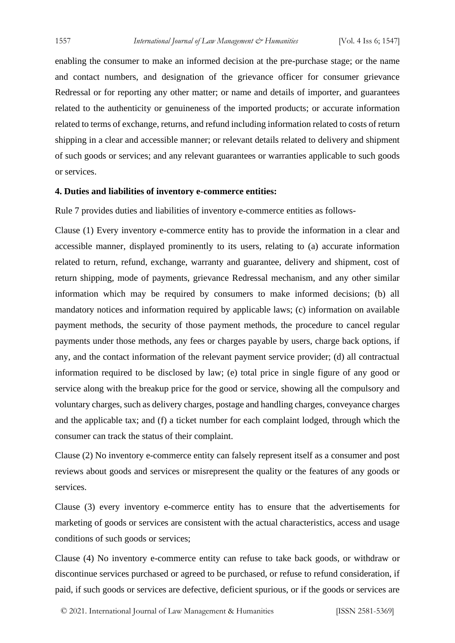enabling the consumer to make an informed decision at the pre-purchase stage; or the name and contact numbers, and designation of the grievance officer for consumer grievance Redressal or for reporting any other matter; or name and details of importer, and guarantees related to the authenticity or genuineness of the imported products; or accurate information related to terms of exchange, returns, and refund including information related to costs of return shipping in a clear and accessible manner; or relevant details related to delivery and shipment of such goods or services; and any relevant guarantees or warranties applicable to such goods or services.

#### **4. Duties and liabilities of inventory e-commerce entities:**

Rule 7 provides duties and liabilities of inventory e-commerce entities as follows-

Clause (1) Every inventory e-commerce entity has to provide the information in a clear and accessible manner, displayed prominently to its users, relating to (a) accurate information related to return, refund, exchange, warranty and guarantee, delivery and shipment, cost of return shipping, mode of payments, grievance Redressal mechanism, and any other similar information which may be required by consumers to make informed decisions; (b) all mandatory notices and information required by applicable laws; (c) information on available payment methods, the security of those payment methods, the procedure to cancel regular payments under those methods, any fees or charges payable by users, charge back options, if any, and the contact information of the relevant payment service provider; (d) all contractual information required to be disclosed by law; (e) total price in single figure of any good or service along with the breakup price for the good or service, showing all the compulsory and voluntary charges, such as delivery charges, postage and handling charges, conveyance charges and the applicable tax; and (f) a ticket number for each complaint lodged, through which the consumer can track the status of their complaint.

Clause (2) No inventory e-commerce entity can falsely represent itself as a consumer and post reviews about goods and services or misrepresent the quality or the features of any goods or services.

Clause (3) every inventory e-commerce entity has to ensure that the advertisements for marketing of goods or services are consistent with the actual characteristics, access and usage conditions of such goods or services;

Clause (4) No inventory e-commerce entity can refuse to take back goods, or withdraw or discontinue services purchased or agreed to be purchased, or refuse to refund consideration, if paid, if such goods or services are defective, deficient spurious, or if the goods or services are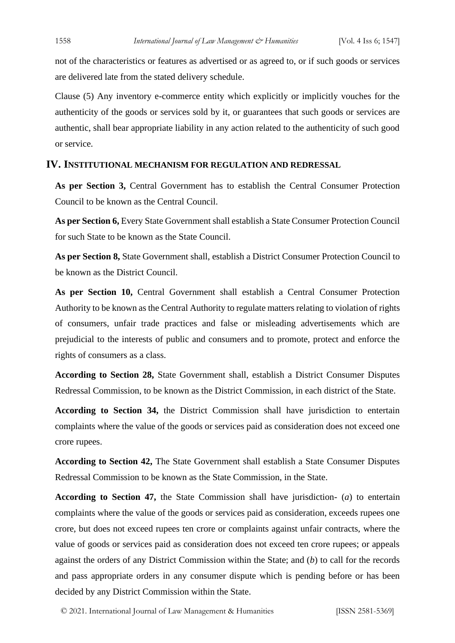not of the characteristics or features as advertised or as agreed to, or if such goods or services are delivered late from the stated delivery schedule.

Clause (5) Any inventory e-commerce entity which explicitly or implicitly vouches for the authenticity of the goods or services sold by it, or guarantees that such goods or services are authentic, shall bear appropriate liability in any action related to the authenticity of such good or service.

#### **IV. INSTITUTIONAL MECHANISM FOR REGULATION AND REDRESSAL**

**As per Section 3,** Central Government has to establish the Central Consumer Protection Council to be known as the Central Council.

**As per Section 6,** Every State Government shall establish a State Consumer Protection Council for such State to be known as the State Council.

**As per Section 8,** State Government shall, establish a District Consumer Protection Council to be known as the District Council.

**As per Section 10,** Central Government shall establish a Central Consumer Protection Authority to be known as the Central Authority to regulate matters relating to violation of rights of consumers, unfair trade practices and false or misleading advertisements which are prejudicial to the interests of public and consumers and to promote, protect and enforce the rights of consumers as a class.

**According to Section 28,** State Government shall, establish a District Consumer Disputes Redressal Commission, to be known as the District Commission, in each district of the State.

**According to Section 34,** the District Commission shall have jurisdiction to entertain complaints where the value of the goods or services paid as consideration does not exceed one crore rupees.

**According to Section 42,** The State Government shall establish a State Consumer Disputes Redressal Commission to be known as the State Commission, in the State.

**According to Section 47,** the State Commission shall have jurisdiction- (*a*) to entertain complaints where the value of the goods or services paid as consideration, exceeds rupees one crore, but does not exceed rupees ten crore or complaints against unfair contracts, where the value of goods or services paid as consideration does not exceed ten crore rupees; or appeals against the orders of any District Commission within the State; and (*b*) to call for the records and pass appropriate orders in any consumer dispute which is pending before or has been decided by any District Commission within the State.